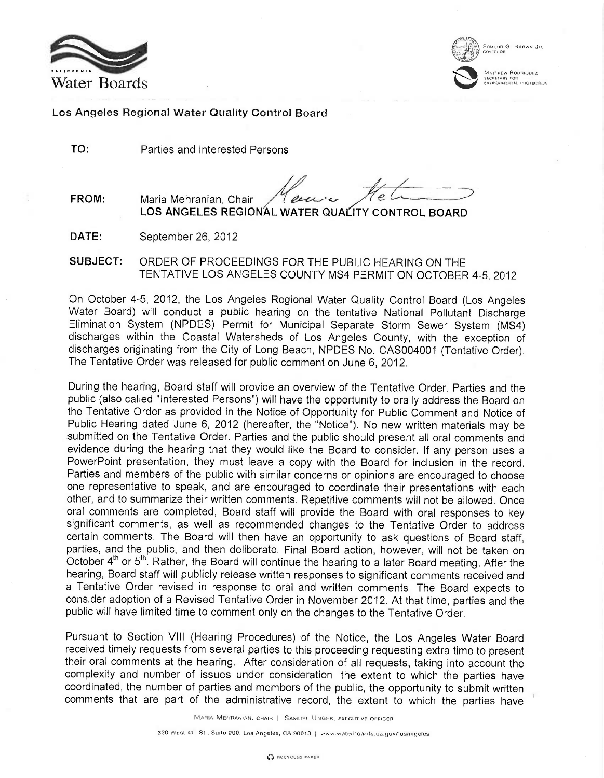



MATTHEW ROORIQUEZ **iec**reta<mark>ry fo</mark>r<br>,Hvirohmental, ihroter,Tr

Los Angeles Regional Water Quality Control Board

TO: Parties and Interested Persons

FROM: Maria Mehranian, Chair

LOS ANGELES REGIONAL WATER QUALITY CONTROL BOARD

DATE: September 26, 2012

SUBJECT: ORDER OF PROCEEDINGS FOR THE PUBLIC HEARING ON THE TENTATIVE LOS ANGELES COUNTY MS4 PERMIT ON OCTOBER 4-5, 2012

On October 4-5, 2012, the Los Angeles Regional Water Quality Control Board (Los Angeles Water Board) will conduct a public hearing on the tentative National Pollutant Discharge Elimination System (NPDES) Permit for Municipal Separate Storm Sewer System (MS4) discharges within the Coastal Watersheds of Los Angeles County, with the exception of discharges originating from the City of Long Beach, NPDES No. CAS004001 (Tentative Order). The Tentative Order was released for public comment on June 6, 2012.

During the hearing, Board staff will provide an overview of the Tentative Order. Parties and the public (also called "Interested Persons") will have the opportunity to orally address the Board on the Tentative Order as provided in the Notice of Opportunity for Public Comment and Notice of Public Hearing dated June 6, 2012 (hereafter, the "Notice"). No new written materials may be submitted on the Tentative Order. Parties and the public should present all oral comments and evidence during the hearing that they would like the Board to consider. If any person uses a PowerPoint presentation, they must leave a copy with the Board for inclusion in the record. Parties and members of the public with similar concerns or opinions are encouraged to choose one representative to speak, and are encouraged to coordinate their presentations with each other, and to summarize their written comments. Repetitive comments will not be allowed. Once oral comments are completed, Board staff will provide the Board with oral responses to key significant comments, as well as recommended changes to the Tentative Order to address certain comments. The Board will then have an opportunity to ask questions of Board staff, parties, and the public, and then deliberate. Final Board action, however, will not be taken on October 4<sup>th</sup> or 5<sup>th</sup>. Rather, the Board will continue the hearing to a later Board meeting. After the hearing, Board staff will publicly release written responses to significant comments received and a Tentative Order revised in response to oral and written comments. The Board expects to consider adoption of a Revised Tentative Order in November 2012. At that time, parties and the public will have limited time to comment only on the changes to the Tentative Order.

Pursuant to Section VIII (Hearing Procedures) of the Notice, the Los Angeles Water Board received timely requests from several parties to this proceeding requesting extra time to present their oral comments at the hearing. After consideration of all requests, taking into account the complexity and number of issues under consideration, the extent to which the parties have coordinated, the number of parties and members of the public, the opportunity to submit written comments that are part of the administrative record, the extent to which the parties have

MARIA MEHRANIAN, CHAIR | SAMUEL UNGER, EXECUTIVE OFFICER